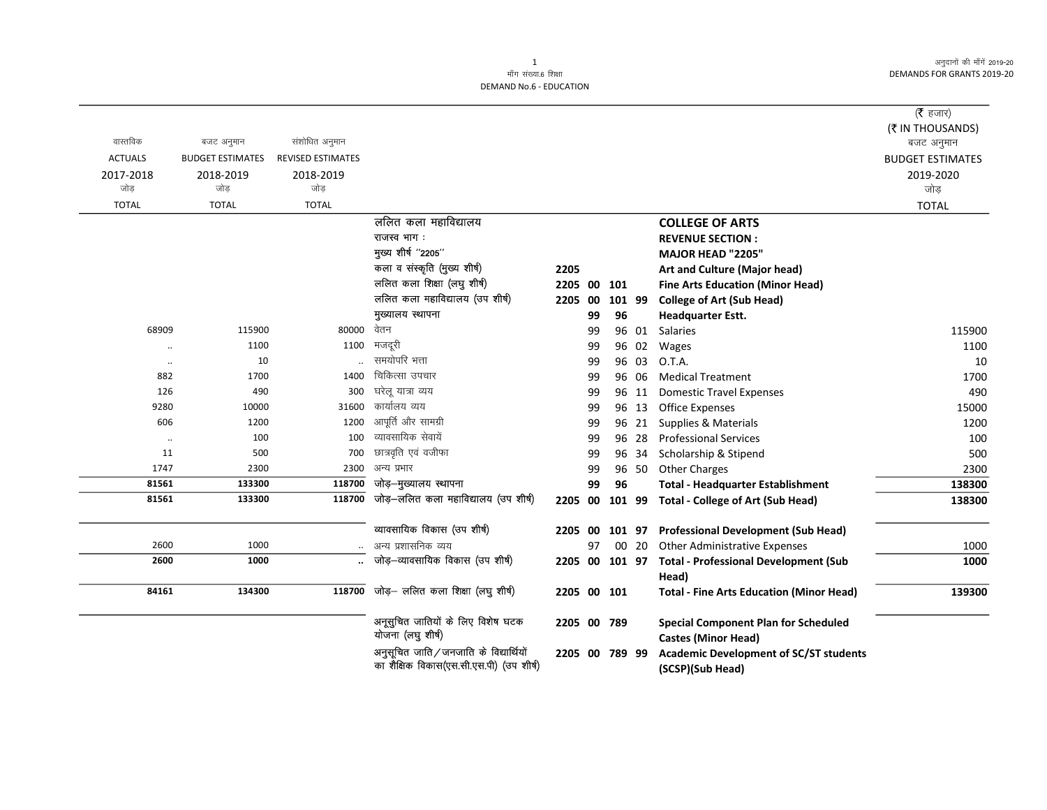अनुदानों की माँगें 2019-20 DEMANDS FOR GRANTS 2019-20

|                |                         |                          |                                                                                   |                |    |        |       |                                                                   | (रै हजार)               |
|----------------|-------------------------|--------------------------|-----------------------------------------------------------------------------------|----------------|----|--------|-------|-------------------------------------------------------------------|-------------------------|
|                |                         |                          |                                                                                   |                |    |        |       |                                                                   | (₹ IN THOUSANDS)        |
| वास्तविक       | बजट अनुमान              | संशोधित अनुमान           |                                                                                   |                |    |        |       |                                                                   | बजट अनुमान              |
| <b>ACTUALS</b> | <b>BUDGET ESTIMATES</b> | <b>REVISED ESTIMATES</b> |                                                                                   |                |    |        |       |                                                                   | <b>BUDGET ESTIMATES</b> |
| 2017-2018      | 2018-2019               | 2018-2019                |                                                                                   |                |    |        |       |                                                                   | 2019-2020               |
| जोड़           | जोड                     | जोड़                     |                                                                                   |                |    |        |       |                                                                   | जोड़                    |
| <b>TOTAL</b>   | <b>TOTAL</b>            | <b>TOTAL</b>             |                                                                                   |                |    |        |       |                                                                   | <b>TOTAL</b>            |
|                |                         |                          | ललित कला महाविद्यालय                                                              |                |    |        |       | <b>COLLEGE OF ARTS</b>                                            |                         |
|                |                         |                          | राजस्व भाग:                                                                       |                |    |        |       | <b>REVENUE SECTION:</b>                                           |                         |
|                |                         |                          | मुख्य शीर्ष "2205"                                                                |                |    |        |       | <b>MAJOR HEAD "2205"</b>                                          |                         |
|                |                         |                          | कला व संस्कृति (मुख्य शीर्ष)                                                      | 2205           |    |        |       | Art and Culture (Major head)                                      |                         |
|                |                         |                          | ललित कला शिक्षा (लघु शीर्ष)                                                       | 2205           | 00 | 101    |       | <b>Fine Arts Education (Minor Head)</b>                           |                         |
|                |                         |                          | ललित कला महाविद्यालय (उप शीर्ष)                                                   | 2205           | 00 | 101 99 |       | <b>College of Art (Sub Head)</b>                                  |                         |
|                |                         |                          | मुख्यालय स्थापना                                                                  |                | 99 | 96     |       | <b>Headquarter Estt.</b>                                          |                         |
| 68909          | 115900                  | 80000 वेतन               |                                                                                   |                | 99 |        | 96 01 | <b>Salaries</b>                                                   | 115900                  |
| $\ddotsc$      | 1100                    | 1100                     | मजदूरी                                                                            |                | 99 |        | 96 02 | Wages                                                             | 1100                    |
| $\cdot\cdot$   | 10                      |                          | समयोपरि भत्ता                                                                     |                | 99 |        | 96 03 | O.T.A.                                                            | 10                      |
| 882            | 1700                    | 1400                     | चिकित्सा उपचार                                                                    |                | 99 |        | 96 06 | <b>Medical Treatment</b>                                          | 1700                    |
| 126            | 490                     | 300                      | घरेलू यात्रा व्यय                                                                 |                | 99 |        | 96 11 | <b>Domestic Travel Expenses</b>                                   | 490                     |
| 9280           | 10000                   | 31600                    | कार्यालय व्यय                                                                     |                | 99 |        | 96 13 | <b>Office Expenses</b>                                            | 15000                   |
| 606            | 1200                    | 1200                     | आपूर्ति और सामग्री                                                                |                | 99 |        | 96 21 | Supplies & Materials                                              | 1200                    |
| $\ddotsc$      | 100                     | 100                      | व्यावसायिक सेवायें                                                                |                | 99 |        | 96 28 | <b>Professional Services</b>                                      | 100                     |
| 11             | 500                     | 700                      | छात्रवृति एवं वजीफा                                                               |                | 99 |        | 96 34 | Scholarship & Stipend                                             | 500                     |
| 1747           | 2300                    |                          | 2300 अन्य प्रभार                                                                  |                | 99 |        | 96 50 | <b>Other Charges</b>                                              | 2300                    |
| 81561          | 133300                  | 118700                   | जोड़–मुख्यालय स्थापना                                                             |                | 99 | 96     |       | <b>Total - Headquarter Establishment</b>                          | 138300                  |
| 81561          | 133300                  | 118700                   | जोड़—ललित कला महाविद्यालय (उप शीर्ष)                                              | 2205 00        |    | 101 99 |       | <b>Total - College of Art (Sub Head)</b>                          | 138300                  |
|                |                         |                          | व्यावसायिक विकास (उप शीर्ष)                                                       | 2205 00        |    | 101 97 |       | <b>Professional Development (Sub Head)</b>                        |                         |
| 2600           | 1000                    |                          | अन्य प्रशासनिक व्यय                                                               |                | 97 |        | 00 20 | <b>Other Administrative Expenses</b>                              | 1000                    |
| 2600           | 1000                    |                          | जोड़–व्यावसायिक विकास (उप शीर्ष)                                                  | 2205 00 101 97 |    |        |       | <b>Total - Professional Development (Sub</b>                      | 1000                    |
|                |                         |                          |                                                                                   |                |    |        |       | Head)                                                             |                         |
| 84161          | 134300                  | 118700                   | जोड़— ललित कला शिक्षा (लघु शीर्ष)                                                 | 2205 00 101    |    |        |       | <b>Total - Fine Arts Education (Minor Head)</b>                   | 139300                  |
|                |                         |                          |                                                                                   |                |    |        |       |                                                                   |                         |
|                |                         |                          | अनूसुचित जातियों के लिए विशेष घटक<br>योजना (लघु शीर्ष)                            | 2205 00 789    |    |        |       | <b>Special Component Plan for Scheduled</b>                       |                         |
|                |                         |                          |                                                                                   |                |    |        |       | <b>Castes (Minor Head)</b>                                        |                         |
|                |                         |                          | अनुसूचित जाति/जनजाति के विद्यार्थियों<br>का शैक्षिक विकास(एस.सी.एस.पी) (उप शीर्ष) | 2205 00        |    | 789 99 |       | <b>Academic Development of SC/ST students</b><br>(SCSP)(Sub Head) |                         |